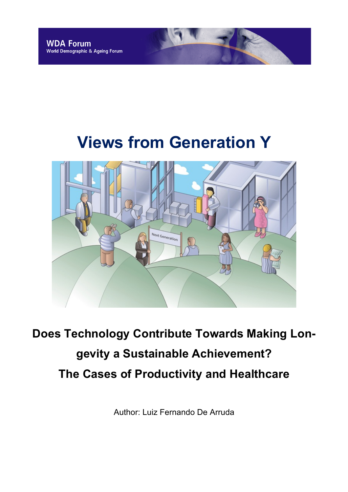# **Views from Generation Y**



**Does Technology Contribute Towards Making Longevity a Sustainable Achievement? The Cases of Productivity and Healthcare**

Author: Luiz Fernando De Arruda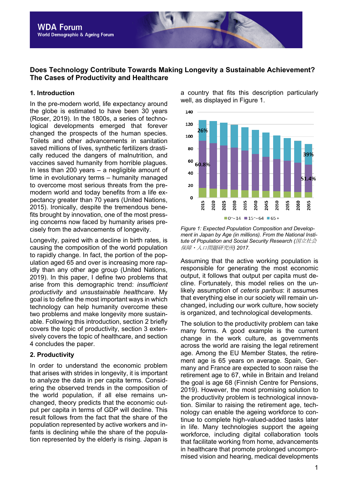## **Does Technology Contribute Towards Making Longevity a Sustainable Achievement? The Cases of Productivity and Healthcare**

#### **1. Introduction**

In the pre-modern world, life expectancy around the globe is estimated to have been 30 years (Roser, 2019). In the 1800s, a series of technological developments emerged that forever changed the prospects of the human species. Toilets and other advancements in sanitation saved millions of lives, synthetic fertilizers drastically reduced the dangers of malnutrition, and vaccines saved humanity from horrible plagues. In less than 200 years – a negligible amount of time in evolutionary terms – humanity managed to overcome most serious threats from the premodern world and today benefits from a life expectancy greater than 70 years (United Nations, 2015). Ironically, despite the tremendous benefits brought by innovation, one of the most pressing concerns now faced by humanity arises precisely from the advancements of longevity.

Longevity, paired with a decline in birth rates, is causing the composition of the world population to rapidly change. In fact, the portion of the population aged 65 and over is increasing more rapidly than any other age group (United Nations, 2019). In this paper, I define two problems that arise from this demographic trend: *insufficient productivity* and *unsustainable healthcare*. My goal is to define the most important ways in which technology can help humanity overcome these two problems and make longevity more sustainable. Following this introduction, section 2 briefly covers the topic of productivity, section 3 extensively covers the topic of healthcare, and section 4 concludes the paper.

#### **2. Productivity**

In order to understand the economic problem that arises with strides in longevity, it is important to analyze the data in per capita terms. Considering the observed trends in the composition of the world population, if all else remains unchanged, theory predicts that the economic output per capita in terms of GDP will decline. This result follows from the fact that the share of the population represented by active workers and infants is declining while the share of the population represented by the elderly is rising. Japan is

a country that fits this description particularly well, as displayed in Figure 1.



*Figure 1: Expected Population Composition and Development in Japan by Age (in millions). From the National Institute of Population and Social Security Research (*国立社会 保障・人口問題研究所*) 2017.*

Assuming that the active working population is responsible for generating the most economic output, it follows that output per capita must decline. Fortunately, this model relies on the unlikely assumption of *ceteris paribus*: it assumes that everything else in our society will remain unchanged, including our work culture, how society is organized, and technological developments.

The solution to the productivity problem can take many forms. A good example is the current change in the work culture, as governments across the world are raising the legal retirement age. Among the EU Member States, the retirement age is 65 years on average. Spain, Germany and France are expected to soon raise the retirement age to 67, while in Britain and Ireland the goal is age 68 (Finnish Centre for Pensions, 2019). However, the most promising solution to the productivity problem is technological innovation. Similar to raising the retirement age, technology can enable the ageing workforce to continue to complete high-valued-added tasks later in life. Many technologies support the ageing workforce, including digital collaboration tools that facilitate working from home, advancements in healthcare that promote prolonged uncompromised vision and hearing, medical developments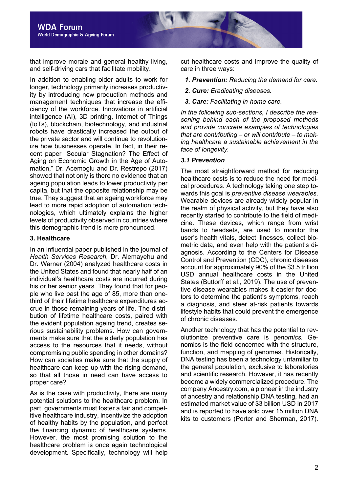that improve morale and general healthy living, and self-driving cars that facilitate mobility.

In addition to enabling older adults to work for longer, technology primarily increases productivity by introducing new production methods and management techniques that increase the efficiency of the workforce. Innovations in artificial intelligence (AI), 3D printing, Internet of Things (IoTs), blockchain, biotechnology, and industrial robots have drastically increased the output of the private sector and will continue to revolutionize how businesses operate. In fact, in their recent paper "Secular Stagnation? The Effect of Aging on Economic Growth in the Age of Automation," Dr. Acemoglu and Dr. Restrepo (2017) showed that not only is there no evidence that an ageing population leads to lower productivity per capita, but that the opposite relationship may be true. They suggest that an ageing workforce may lead to more rapid adoption of automation technologies, which ultimately explains the higher levels of productivity observed in countries where this demographic trend is more pronounced.

#### **3. Healthcare**

In an influential paper published in the journal of *Health Services Research*, Dr. Alemayehu and Dr. Warner (2004) analyzed healthcare costs in the United States and found that nearly half of an individual's healthcare costs are incurred during his or her senior years. They found that for people who live past the age of 85, more than onethird of their lifetime healthcare expenditures accrue in those remaining years of life. The distribution of lifetime healthcare costs, paired with the evident population ageing trend, creates serious sustainability problems. How can governments make sure that the elderly population has access to the resources that it needs, without compromising public spending in other domains? How can societies make sure that the supply of healthcare can keep up with the rising demand, so that all those in need can have access to proper care?

As is the case with productivity, there are many potential solutions to the healthcare problem. In part, governments must foster a fair and competitive healthcare industry, incentivize the adoption of healthy habits by the population, and perfect the financing dynamic of healthcare systems. However, the most promising solution to the healthcare problem is once again technological development. Specifically, technology will help cut healthcare costs and improve the quality of care in three ways:

- *1. Prevention: Reducing the demand for care.*
- *2. Cure: Eradicating diseases.*
- *3. Care: Facilitating in-home care.*

*In the following sub-sections, I describe the reasoning behind each of the proposed methods and provide concrete examples of technologies that are contributing – or will contribute – to making healthcare a sustainable achievement in the face of longevity.*

## *3.1 Prevention*

The most straightforward method for reducing healthcare costs is to reduce the need for medical procedures. A technology taking one step towards this goal is *preventive disease wearables*. Wearable devices are already widely popular in the realm of physical activity, but they have also recently started to contribute to the field of medicine. These devices, which range from wrist bands to headsets, are used to monitor the user's health vitals, detect illnesses, collect biometric data, and even help with the patient's diagnosis. According to the Centers for Disease Control and Prevention (CDC), chronic diseases account for approximately 90% of the \$3.5 trillion USD annual healthcare costs in the United States (Buttorff et al., 2019). The use of preventive disease wearables makes it easier for doctors to determine the patient's symptoms, reach a diagnosis, and steer at-risk patients towards lifestyle habits that could prevent the emergence of chronic diseases.

Another technology that has the potential to revolutionize preventive care is *genomics.* Genomics is the field concerned with the structure, function, and mapping of genomes. Historically, DNA testing has been a technology unfamiliar to the general population, exclusive to laboratories and scientific research. However, it has recently become a widely commercialized procedure. The company Ancestry.com, a pioneer in the industry of ancestry and relationship DNA testing, had an estimated market value of \$3 billion USD in 2017 and is reported to have sold over 15 million DNA kits to customers (Porter and Sherman, 2017).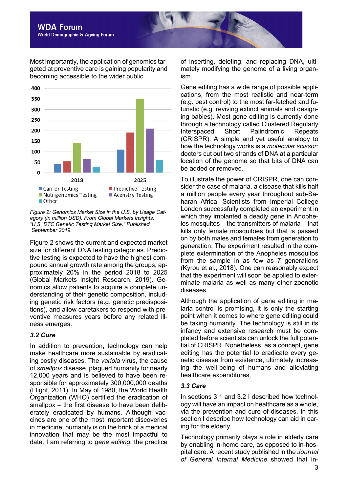

Most importantly, the application of genomics targeted at preventive care is gaining popularity and becoming accessible to the wider public.



*Figure 2: Genomics Market Size in the U.S. by Usage Category (in million USD). From Global Markets Insights. "U.S. DTC Genetic Testing Market Size." Published September 2019.*

Figure 2 shows the current and expected market size for different DNA testing categories. Predictive testing is expected to have the highest compound annual growth rate among the groups, approximately 20% in the period 2018 to 2025 (Global Markets Insight Research, 2019). Genomics allow patients to acquire a complete understanding of their genetic composition, including genetic risk factors (e.g. genetic predispositions), and allow caretakers to respond with preventive measures years before any related illness emerges.

#### *3.2 Cure*

In addition to prevention, technology can help make healthcare more sustainable by eradicating costly diseases. The *variola* virus, the cause of *smallpox* disease, plagued humanity for nearly 12,000 years and is believed to have been responsible for approximately 300,000,000 deaths (Flight, 2011). In May of 1980, the World Health Organization (WHO) certified the eradication of smallpox – the first disease to have been deliberately eradicated by humans. Although vaccines are one of the most important discoveries in medicine, humanity is on the brink of a medical innovation that may be the most impactful to date. I am referring to *gene editing*, the practice

of inserting, deleting, and replacing DNA, ultimately modifying the genome of a living organism.

Gene editing has a wide range of possible applications, from the most realistic and near-term (e.g. pest control) to the most far-fetched and futuristic (e.g. reviving extinct animals and designing babies). Most gene editing is currently done through a technology called Clustered Regularly Interspaced Short Palindromic Repeats (CRISPR). A simple and yet useful analogy to how the technology works is a *molecular scissor*: doctors cut out two strands of DNA at a particular location of the genome so that bits of DNA can be added or removed.

To illustrate the power of CRISPR, one can consider the case of malaria, a disease that kills half a million people every year throughout sub-Saharan Africa. Scientists from Imperial College London successfully completed an experiment in which they implanted a deadly gene in Anopheles mosquitos – the transmitters of malaria – that kills only female mosquitoes but that is passed on by both males and females from generation to generation. The experiment resulted in the complete extermination of the Anopheles mosquitos from the sample in as few as 7 generations (Kyrou et al., 2018). One can reasonably expect that the experiment will soon be applied to exterminate malaria as well as many other zoonotic diseases.

Although the application of gene editing in malaria control is promising, it is only the starting point when it comes to where gene editing could be taking humanity. The technology is still in its infancy and extensive research must be completed before scientists can unlock the full potential of CRISPR. Nonetheless, as a concept, gene editing has the potential to eradicate every genetic disease from existence, ultimately increasing the well-being of humans and alleviating healthcare expenditures.

#### *3.3 Care*

In sections 3.1 and 3.2 I described how technology will have an impact on healthcare as a whole, via the prevention and cure of diseases. In this section I describe how technology can aid in caring for the elderly.

Technology primarily plays a role in elderly care by enabling in-home care, as opposed to in-hospital care. A recent study published in the *Journal of General Internal Medicine* showed that in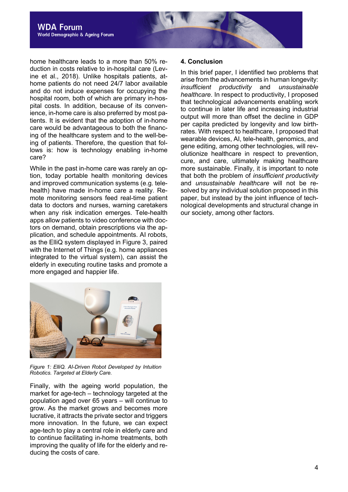home healthcare leads to a more than 50% reduction in costs relative to in-hospital care (Levine et al., 2018). Unlike hospitals patients, athome patients do not need 24/7 labor available and do not induce expenses for occupying the hospital room, both of which are primary in-hospital costs. In addition, because of its convenience, in-home care is also preferred by most patients. It is evident that the adoption of in-home care would be advantageous to both the financing of the healthcare system and to the well-being of patients. Therefore, the question that follows is: how is technology enabling in-home care?

While in the past in-home care was rarely an option, today portable health monitoring devices and improved communication systems (e.g. telehealth) have made in-home care a reality. Remote monitoring sensors feed real-time patient data to doctors and nurses, warning caretakers when any risk indication emerges. Tele-health apps allow patients to video conference with doctors on demand, obtain prescriptions via the application, and schedule appointments. AI robots, as the ElliQ system displayed in Figure 3, paired with the Internet of Things (e.g. home appliances integrated to the virtual system), can assist the elderly in executing routine tasks and promote a more engaged and happier life.



*Figure 1: ElliQ. AI-Driven Robot Developed by Intuition Robotics. Targeted at Elderly Care.*

Finally, with the ageing world population, the market for age-tech – technology targeted at the population aged over 65 years – will continue to grow. As the market grows and becomes more lucrative, it attracts the private sector and triggers more innovation. In the future, we can expect age-tech to play a central role in elderly care and to continue facilitating in-home treatments, both improving the quality of life for the elderly and reducing the costs of care.

#### **4. Conclusion**

In this brief paper, I identified two problems that arise from the advancements in human longevity: *insufficient productivity* and *unsustainable healthcare*. In respect to productivity, I proposed that technological advancements enabling work to continue in later life and increasing industrial output will more than offset the decline in GDP per capita predicted by longevity and low birthrates. With respect to healthcare, I proposed that wearable devices, AI, tele-health, genomics, and gene editing, among other technologies, will revolutionize healthcare in respect to prevention, cure, and care, ultimately making healthcare more sustainable. Finally, it is important to note that both the problem of *insufficient productivity*  and *unsustainable healthcare* will not be resolved by any individual solution proposed in this paper, but instead by the joint influence of technological developments and structural change in our society, among other factors.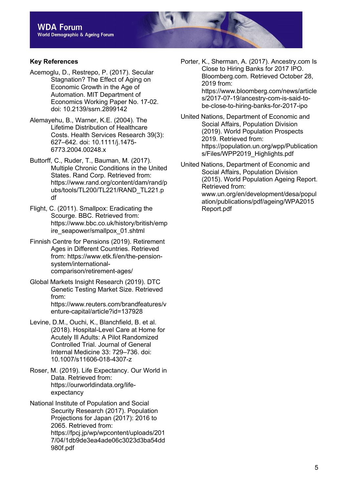## **Key References**

- Acemoglu, D., Restrepo, P. (2017). Secular Stagnation? The Effect of Aging on Economic Growth in the Age of Automation. MIT Department of Economics Working Paper No. 17-02. doi: 10.2139/ssrn.2899142
- Alemayehu, B., Warner, K.E. (2004). The Lifetime Distribution of Healthcare Costs. Health Services Research 39(3): 627–642. doi: 10.1111/j.1475- 6773.2004.00248.x
- Buttorff, C., Ruder, T., Bauman, M. (2017). Multiple Chronic Conditions in the United States. Rand Corp. Retrieved from: https://www.rand.org/content/dam/rand/p ubs/tools/TL200/TL221/RAND\_TL221.p df
- Flight, C. (2011). Smallpox: Eradicating the Scourge. BBC. Retrieved from: https://www.bbc.co.uk/history/british/emp ire\_seapower/smallpox\_01.shtml
- Finnish Centre for Pensions (2019). Retirement Ages in Different Countries. Retrieved from: https://www.etk.fi/en/the-pensionsystem/internationalcomparison/retirement-ages/
- Global Markets Insight Research (2019). DTC Genetic Testing Market Size. Retrieved from: https://www.reuters.com/brandfeatures/v enture-capital/article?id=137928
- Levine, D.M., Ouchi, K., Blanchfield, B. et al. (2018). Hospital-Level Care at Home for Acutely Ill Adults: A Pilot Randomized Controlled Trial. Journal of General Internal Medicine 33: 729–736. doi: 10.1007/s11606-018-4307-z
- Roser, M. (2019). Life Expectancy. Our World in Data. Retrieved from: https://ourworldindata.org/lifeexpectancy
- National Institute of Population and Social Security Research (2017). Population Projections for Japan (2017): 2016 to 2065. Retrieved from: https://fpcj.jp/wp/wpcontent/uploads/201 7/04/1db9de3ea4ade06c3023d3ba54dd 980f.pdf

Porter, K., Sherman, A. (2017). Ancestry.com Is Close to Hiring Banks for 2017 IPO. Bloomberg.com. Retrieved October 28, 2019 from: https://www.bloomberg.com/news/article s/2017-07-19/ancestry-com-is-said-tobe-close-to-hiring-banks-for-2017-ipo

- United Nations, Department of Economic and Social Affairs, Population Division (2019). World Population Prospects 2019. Retrieved from: https://population.un.org/wpp/Publication s/Files/WPP2019\_Highlights.pdf
- United Nations, Department of Economic and Social Affairs, Population Division (2015). World Population Ageing Report. Retrieved from: www.un.org/en/development/desa/popul ation/publications/pdf/ageing/WPA2015 Report.pdf